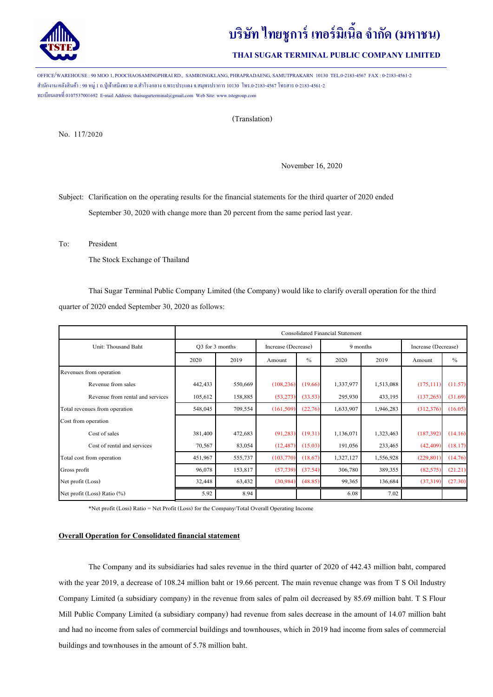

# **บริษัท ไทยชูการ์ เทอร์มิเนิลจํากัด (มหาชน)**

## **THAI SUGAR TERMINAL PUBLIC COMPANY LIMITED**

OFFICE/WAREHOUSE : 90 MOO 1, POOCHAOSAMINGPHRAI RD., SAMRONGKLANG, PHRAPRADAENG, SAMUTPRAKARN 10130 TEL.0-2183-4567 FAX : 0-2183-4561-2 สํานักงาน/คลังสินค้า : 90 หมู่1 ถ.ปู่ เจ้าสมิงพราย ต.สําโรงกลาง อ.พระประแดง จ.สมุทรปราการ 10130 โทร.0-2183-4567 โทรสาร 0-2183-4561-2 ทะเบียนเลขที 0107537001692 E-mail Address: thaisugarterminal@gmail.com Web Site: www.tstegroup.com

### (Translation)

No. 117/2020

November 16, 2020

Subject: Clarification on the operating results for the financial statements for the third quarter of 2020 ended September 30, 2020 with change more than 20 percent from the same period last year.

To: President

The Stock Exchange of Thailand

Thai Sugar Terminal Public Company Limited(the Company) would like to clarify overall operation for the third quarter of 2020 ended September 30, 2020 as follows:

|                                  | <b>Consolidated Financial Statement</b> |         |                     |               |           |           |                     |               |
|----------------------------------|-----------------------------------------|---------|---------------------|---------------|-----------|-----------|---------------------|---------------|
| Unit: Thousand Baht              | O3 for 3 months                         |         | Increase (Decrease) |               | 9 months  |           | Increase (Decrease) |               |
|                                  | 2020                                    | 2019    | Amount              | $\frac{0}{0}$ | 2020      | 2019      | Amount              | $\frac{0}{0}$ |
| Revenues from operation          |                                         |         |                     |               |           |           |                     |               |
| Revenue from sales               | 442,433                                 | 550,669 | (108, 236)          | (19.66)       | 1,337,977 | 1,513,088 | (175, 111)          | (11.57)       |
| Revenue from rental and services | 105,612                                 | 158,885 | (53, 273)           | (33.53)       | 295,930   | 433,195   | (137, 265)          | (31.69)       |
| Total revenues from operation    | 548,045                                 | 709,554 | (161, 509)          | (22.76)       | 1,633,907 | 1,946,283 | (312,376)           | (16.05)       |
| Cost from operation              |                                         |         |                     |               |           |           |                     |               |
| Cost of sales                    | 381,400                                 | 472,683 | (91, 283)           | (19.31)       | 1,136,071 | 1,323,463 | (187, 392)          | (14.16)       |
| Cost of rental and services      | 70,567                                  | 83,054  | (12, 487)           | (15.03)       | 191,056   | 233,465   | (42, 409)           | (18.17)       |
| Total cost from operation        | 451,967                                 | 555,737 | (103,770)           | (18.67)       | 1,327,127 | 1,556,928 | (229, 801)          | (14.76)       |
| Gross profit                     | 96,078                                  | 153,817 | (57, 739)           | (37.54)       | 306,780   | 389,355   | (82, 575)           | (21.21)       |
| Net profit (Loss)                | 32,448                                  | 63,432  | (30,984)            | (48.85)       | 99,365    | 136,684   | (37,319)            | (27.30)       |
| Net profit (Loss) Ratio (%)      | 5.92                                    | 8.94    |                     |               | 6.08      | 7.02      |                     |               |

\*Net profit (Loss) Ratio = Net Profit (Loss) for the Company/Total Overall Operating Income

### **Overall Operation for Consolidated financial statement**

The Company and its subsidiaries had sales revenue in the third quarter of 2020 of 442.43 million baht, compared with the year 2019, a decrease of 108.24 million baht or 19.66 percent. The main revenue change was from T S Oil Industry Company Limited (a subsidiary company) in the revenue from sales of palm oil decreased by 85.69 million baht. T S Flour Mill Public Company Limited (a subsidiary company) had revenue from sales decrease in the amount of 14.07 million baht and had no income from sales of commercial buildings and townhouses, which in 2019 had income from sales of commercial buildings and townhouses in the amount of 5.78 million baht.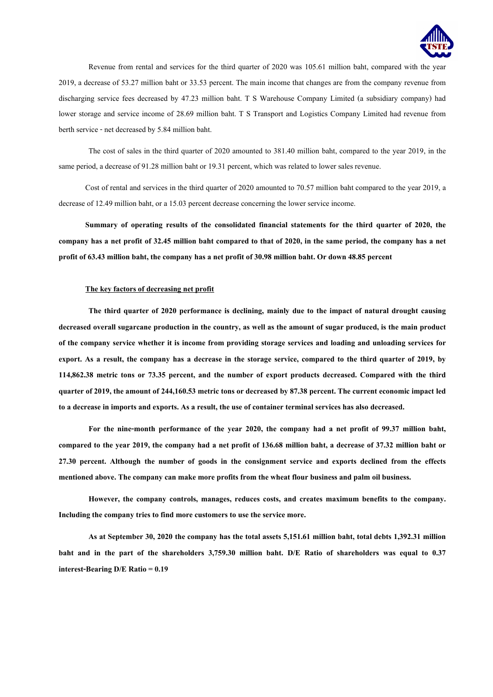

Revenue from rental and services for the third quarter of 2020 was 105.61 million baht, compared with the year 2019, a decrease of 53.27 million baht or 33.53 percent. The main income that changes are from the company revenue from discharging service fees decreased by 47.23 million baht. T S Warehouse Company Limited (a subsidiary company) had lower storage and service income of 28.69 million baht. T S Transport and Logistics Company Limited had revenue from berth service - net decreased by 5.84 million baht.

The cost of sales in the third quarter of 2020 amounted to 381.40 million baht, compared to the year 2019, in the same period, a decrease of 91.28 million baht or 19.31 percent, which was related to lower sales revenue.

Cost of rental and services in the third quarter of 2020 amounted to 70.57 million baht compared to the year 2019, a decrease of 12.49 million baht, or a 15.03 percent decrease concerning the lower service income.

**Summary of operating results of the consolidated financial statements for the third quarter of 2020, the company has a net profit of 32.45 million baht compared to that of 2020, in the same period, the company has a net profit of 63.43 million baht, the company has a net profit of 30.98 million baht. Or down 48.85 percent**

#### **The key factors of decreasing net profit**

**The third quarter of 2020 performance is declining, mainly due to the impact of natural drought causing decreased overall sugarcane production in the country, as well as the amount of sugar produced, is the main product of the company service whether it is income from providing storage services and loading and unloading services for export. As a result, the company has a decrease in the storage service, compared to the third quarter of 2019, by 114,862.38 metric tons or 73.35 percent, and the number of export products decreased. Compared with the third quarter of 2019, the amount of 244,160.53 metric tons or decreased by 87.38 percent. The current economic impact led to a decrease in imports and exports. As a result, the use of container terminal services has also decreased.**

**For the nine-month performance of the year 2020, the company had a net profit of 99.37 million baht, compared to the year 2019, the company had a net profit of 136.68 million baht, a decrease of 37.32 million baht or 27.30 percent. Although the number of goods in the consignment service and exports declined from the effects mentioned above. The company can make more profits from the wheat flour business and palm oil business.** 

**However, the company controls, manages, reduces costs, and creates maximum benefits to the company. Including the company tries to find more customers to use the service more.**

**As at September 30, 2020 the company has the total assets 5,151.61 million baht, total debts 1,392.31 million baht and in the part of the shareholders 3,759.30 million baht. D/E Ratio of shareholders was equal to 0.37 interest-Bearing D/E Ratio= 0.19**